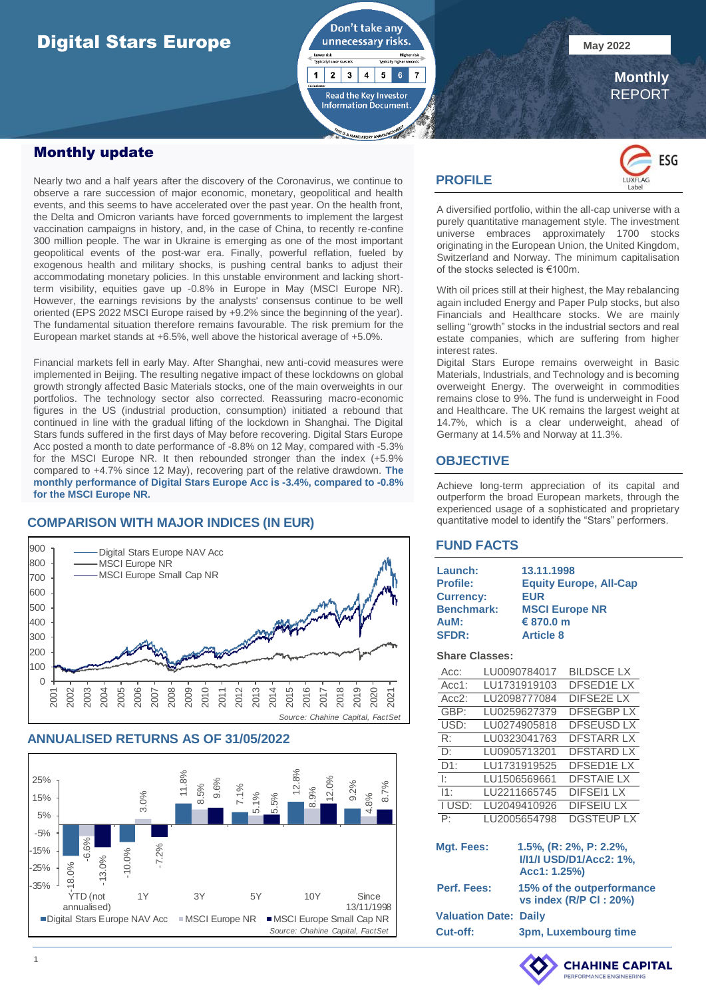# Digital Stars Europe **May 2022**

Don't take any  $5<sup>1</sup>$  $6<sup>1</sup>$  $\overline{7}$  $\mathbf{1}$  $2 \mid 3 \mid 4 \mid$ Read the Key Investor **Information Document** 

 **Monthly** REPORT

### Monthly update

Nearly two and a half years after the discovery of the Coronavirus, we continue to observe a rare succession of major economic, monetary, geopolitical and health events, and this seems to have accelerated over the past year. On the health front, the Delta and Omicron variants have forced governments to implement the largest vaccination campaigns in history, and, in the case of China, to recently re-confine 300 million people. The war in Ukraine is emerging as one of the most important geopolitical events of the post-war era. Finally, powerful reflation, fueled by exogenous health and military shocks, is pushing central banks to adjust their accommodating monetary policies. In this unstable environment and lacking shortterm visibility, equities gave up -0.8% in Europe in May (MSCI Europe NR). However, the earnings revisions by the analysts' consensus continue to be well oriented (EPS 2022 MSCI Europe raised by +9.2% since the beginning of the year). The fundamental situation therefore remains favourable. The risk premium for the European market stands at +6.5%, well above the historical average of +5.0%.

Financial markets fell in early May. After Shanghai, new anti-covid measures were implemented in Beijing. The resulting negative impact of these lockdowns on global growth strongly affected Basic Materials stocks, one of the main overweights in our portfolios. The technology sector also corrected. Reassuring macro-economic figures in the US (industrial production, consumption) initiated a rebound that continued in line with the gradual lifting of the lockdown in Shanghai. The Digital Stars funds suffered in the first days of May before recovering. Digital Stars Europe Acc posted a month to date performance of -8.8% on 12 May, compared with -5.3% for the MSCI Europe NR. It then rebounded stronger than the index (+5.9% compared to +4.7% since 12 May), recovering part of the relative drawdown. **The monthly performance of Digital Stars Europe Acc is -3.4%, compared to -0.8% for the MSCI Europe NR.**

### **COMPARISON WITH MAJOR INDICES (IN EUR)**



### **ANNUALISED RETURNS AS OF 31/05/2022**



### **PROFILE**



A diversified portfolio, within the all-cap universe with a purely quantitative management style. The investment universe embraces approximately 1700 stocks originating in the European Union, the United Kingdom, Switzerland and Norway. The minimum capitalisation of the stocks selected is €100m.

With oil prices still at their highest, the May rebalancing again included Energy and Paper Pulp stocks, but also Financials and Healthcare stocks. We are mainly selling "growth" stocks in the industrial sectors and real estate companies, which are suffering from higher interest rates.

Digital Stars Europe remains overweight in Basic Materials, Industrials, and Technology and is becoming overweight Energy. The overweight in commodities remains close to 9%. The fund is underweight in Food and Healthcare. The UK remains the largest weight at 14.7%, which is a clear underweight, ahead of Germany at 14.5% and Norway at 11.3%.

### **OBJECTIVE**

Achieve long-term appreciation of its capital and outperform the broad European markets, through the experienced usage of a sophisticated and proprietary quantitative model to identify the "Stars" performers.

### **FUND FACTS**

| Launch:           | 13.11.1998                    |
|-------------------|-------------------------------|
| <b>Profile:</b>   | <b>Equity Europe, All-Cap</b> |
| <b>Currency:</b>  | <b>EUR</b>                    |
| <b>Benchmark:</b> | <b>MSCI Europe NR</b>         |
| AuM:              | € 870.0 m                     |
| <b>SFDR:</b>      | <b>Article 8</b>              |

### **Share Classes:**

| Acc:         | LU0090784017 | <b>BILDSCE LX</b> |
|--------------|--------------|-------------------|
| $Acc1$ :     | LU1731919103 | <b>DFSED1ELX</b>  |
| Acc2:        | LU2098777084 | <b>DIFSE2E LX</b> |
| GBP:         | LU0259627379 | <b>DFSEGBPLX</b>  |
| USD:         | LU0274905818 | <b>DFSEUSD LX</b> |
| $R \cdot$    | LU0323041763 | <b>DFSTARR LX</b> |
| D:           | LU0905713201 | <b>DFSTARD LX</b> |
| D1:          | LU1731919525 | <b>DFSED1ELX</b>  |
| $\cdot$      | LU1506569661 | <b>DFSTAIE LX</b> |
| 11:          | LU2211665745 | <b>DIFSEI1 LX</b> |
| I USD:       | LU2049410926 | <b>DIFSEIULX</b>  |
| $\mathsf{P}$ | LU2005654798 | <b>DGSTEUP LX</b> |

| Mgt. Fees:                   | 1.5%, (R: 2%, P: 2.2%,<br>I/I1/I USD/D1/Acc2: 1%,<br>Acc1: 1.25%) |
|------------------------------|-------------------------------------------------------------------|
| Perf. Fees:                  | 15% of the outperformance<br>vs index (R/P CI: 20%)               |
| <b>Valuation Date: Daily</b> |                                                                   |
| Cut-off:                     | 3pm, Luxembourg time                                              |

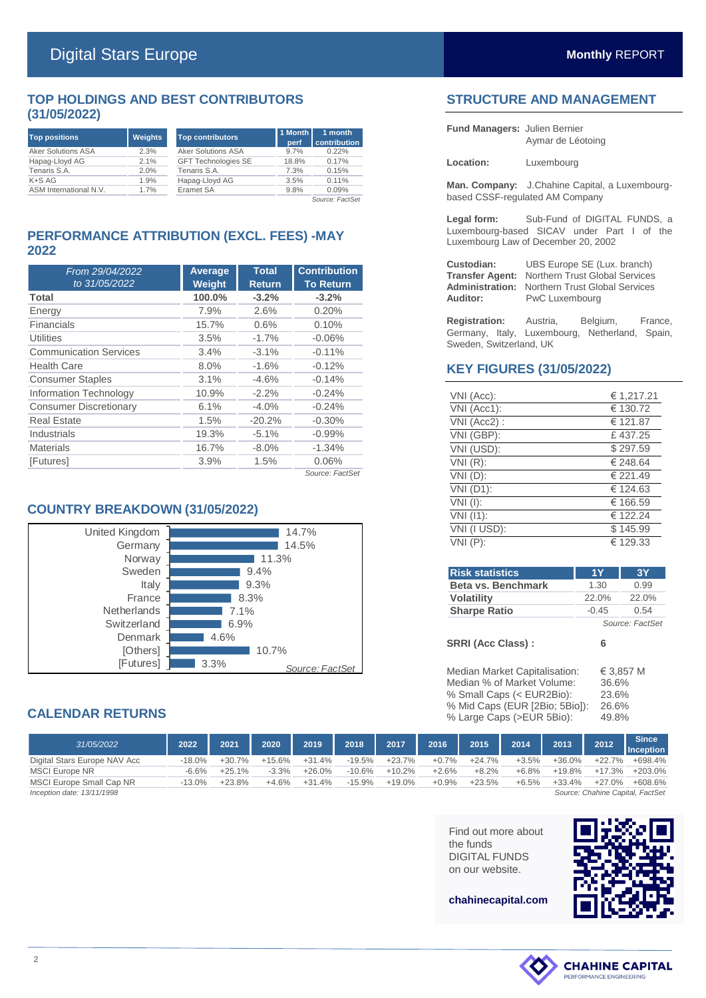### **TOP HOLDINGS AND BEST CONTRIBUTORS (31/05/2022)**

| <b>Top positions</b>      | <b>Weights</b> | <b>Top contributors</b>    | 1 Month<br>perf | 1 month<br>contribution |
|---------------------------|----------------|----------------------------|-----------------|-------------------------|
| <b>Aker Solutions ASA</b> | 2.3%           | Aker Solutions ASA         | 9.7%            | 0.22%                   |
| Hapag-Lloyd AG            | 2.1%           | <b>GFT Technologies SE</b> | 18.8%           | 0.17%                   |
| Tenaris S.A.              | 2.0%           | Tenaris S.A.               | 7.3%            | 0.15%                   |
| $K+SAG$                   | 1.9%           | Hapag-Lloyd AG             | 3.5%            | 0.11%                   |
| ASM International N.V.    | 1.7%           | Eramet SA                  | 9.8%            | 0.09%                   |
|                           |                |                            |                 | Source: FactSet         |

### **PERFORMANCE ATTRIBUTION (EXCL. FEES) -MAY 2022**

| From 29/04/2022               | Average       | <b>Total</b>  | <b>Contribution</b> |
|-------------------------------|---------------|---------------|---------------------|
| to 31/05/2022                 | <b>Weight</b> | <b>Return</b> | <b>To Return</b>    |
| Total                         | 100.0%        | $-3.2%$       | $-3.2%$             |
| Energy                        | 7.9%          | 2.6%          | 0.20%               |
| Financials                    | 15.7%         | 0.6%          | 0.10%               |
| Utilities                     | 3.5%          | $-1.7%$       | $-0.06%$            |
| <b>Communication Services</b> | 3.4%          | $-3.1%$       | $-0.11%$            |
| <b>Health Care</b>            | 8.0%          | $-1.6%$       | $-0.12%$            |
| <b>Consumer Staples</b>       | 3.1%          | $-4.6%$       | $-0.14%$            |
| Information Technology        | 10.9%         | $-2.2\%$      | $-0.24%$            |
| <b>Consumer Discretionary</b> | 6.1%          | $-4.0%$       | $-0.24%$            |
| <b>Real Estate</b>            | 1.5%          | $-20.2%$      | $-0.30%$            |
| Industrials                   | 19.3%         | $-5.1%$       | $-0.99%$            |
| <b>Materials</b>              | 16.7%         | $-8.0\%$      | $-1.34%$            |
| [Futures]                     | 3.9%          | 1.5%          | 0.06%               |
|                               |               |               | Source: FactSet     |

### **COUNTRY BREAKDOWN (31/05/2022)**



### **CALENDAR RETURNS**

| 31/05/2022                   | 2022     | 2021     | 2020     | 2019     | 2018     | 2017     | 2016    | 2015     | 2014    | 2013     | 2012      | <b>Since</b><br><b>Inception</b> |
|------------------------------|----------|----------|----------|----------|----------|----------|---------|----------|---------|----------|-----------|----------------------------------|
| Digital Stars Europe NAV Acc | $-18.0%$ | $+30.7%$ | $+15.6%$ | $+31.4%$ | $-19.5%$ | $+23.7%$ | $+0.7%$ | $+24.7%$ | $+3.5%$ | $+36.0%$ | $+22.7%$  | +698.4%                          |
| MSCI Europe NR               | $-6.6%$  | $+25.1%$ | $-3.3%$  | $+26.0%$ | $-10.6%$ | $+10.2%$ | $+2.6%$ | $+8.2%$  | $+6.8%$ | $+19.8%$ | $+17.3\%$ | $+203.0\%$                       |
| MSCI Europe Small Cap NR     | $-13.0%$ | $+23.8%$ | $+4.6%$  | $+31.4%$ | $-15.9%$ | $+19.0%$ | $+0.9%$ | $+23.5%$ | $+6.5%$ | $+33.4%$ | $+27.0%$  | $+608.6%$                        |
| Inception date: 13/11/1998   |          |          |          |          |          |          |         |          |         |          |           | Source: Chahine Capital, FactSet |

Find out more about the funds DIGITAL FUNDS on our website.



## **STRUCTURE AND MANAGEMENT**

| <b>Fund Managers: Julien Bernier</b> |                   |
|--------------------------------------|-------------------|
|                                      | Aymar de Léotoing |

**Location:** Luxembourg

**Man. Company:** J.Chahine Capital, a Luxembourgbased CSSF-regulated AM Company

**Legal form:** Sub-Fund of DIGITAL FUNDS, a Luxembourg-based SICAV under Part I of the Luxembourg Law of December 20, 2002

| Custodian:             | UBS Europe SE (Lux. branch)                           |
|------------------------|-------------------------------------------------------|
|                        | <b>Transfer Agent: Northern Trust Global Services</b> |
| <b>Administration:</b> | <b>Northern Trust Global Services</b>                 |
| Auditor:               | PwC Luxembourg                                        |

**Registration:** Austria, Belgium, France, Germany, Italy, Luxembourg, Netherland, Spain, Sweden, Switzerland, UK

### **KEY FIGURES (31/05/2022)**

| VNI (Acc):   | € 1,217.21 |
|--------------|------------|
| VNI (Acc1):  | € 130.72   |
| VNI (Acc2):  | € 121.87   |
| VNI (GBP):   | £437.25    |
| VNI (USD):   | \$297.59   |
| $VNI(R)$ :   | € 248.64   |
| $VNI(D)$ :   | € 221.49   |
| VNI (D1):    | € 124.63   |
| $VNI$ (I):   | € 166.59   |
| $VNI$ (11):  | € 122.24   |
| VNI (I USD): | \$145.99   |
| $VNI(P)$ :   | € 129.33   |

| <b>Risk statistics</b>        | 1Y      | 3Y                 |
|-------------------------------|---------|--------------------|
| Beta vs. Benchmark            | 1.30    | 0.99               |
| <b>Volatility</b>             | 22.0%   | 22.0%              |
| <b>Sharpe Ratio</b>           | $-0.45$ | 0.54               |
|                               |         | Source: FactSet    |
| <b>SRRI (Acc Class):</b>      | 6       |                    |
| Median Market Capitalisation: |         | $\epsilon$ 3.857 M |

| Median Market Capital sation:  | € 3.857 IV |
|--------------------------------|------------|
| Median % of Market Volume:     | 36.6%      |
| % Small Caps (< EUR2Bio):      | 23.6%      |
| % Mid Caps (EUR [2Bio; 5Bio]): | 26.6%      |
| % Large Caps (>EUR 5Bio):      | 49.8%      |

**chahinecapital.com**